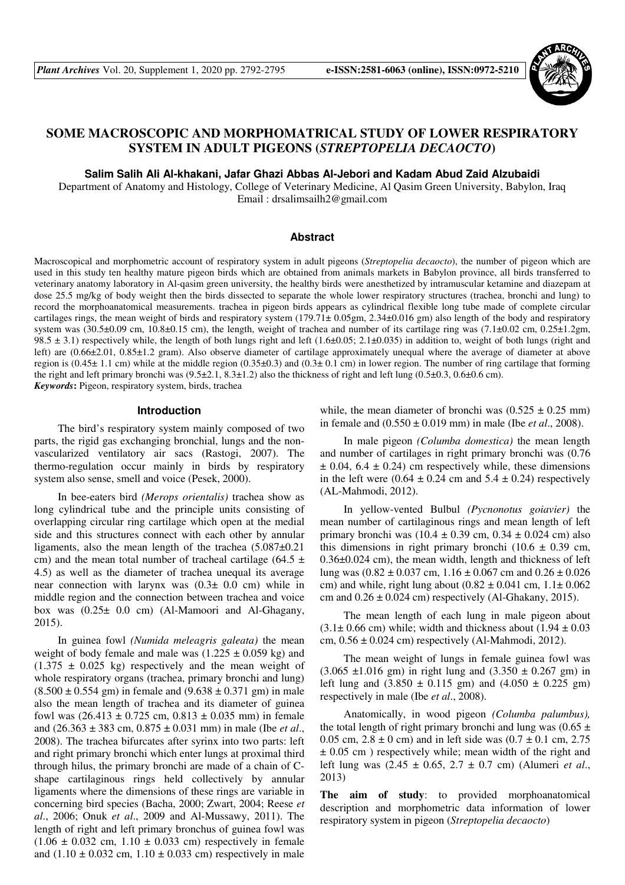

# **SOME MACROSCOPIC AND MORPHOMATRICAL STUDY OF LOWER RESPIRATORY SYSTEM IN ADULT PIGEONS (***STREPTOPELIA DECAOCTO***)**

**Salim Salih Ali Al-khakani, Jafar Ghazi Abbas Al-Jebori and Kadam Abud Zaid Alzubaidi**

Department of Anatomy and Histology, College of Veterinary Medicine, Al Qasim Green University, Babylon, Iraq Email : drsalimsailh2@gmail.com

## **Abstract**

Macroscopical and morphometric account of respiratory system in adult pigeons (*Streptopelia decaocto*), the number of pigeon which are used in this study ten healthy mature pigeon birds which are obtained from animals markets in Babylon province, all birds transferred to veterinary anatomy laboratory in Al-qasim green university, the healthy birds were anesthetized by intramuscular ketamine and diazepam at dose 25.5 mg/kg of body weight then the birds dissected to separate the whole lower respiratory structures (trachea, bronchi and lung) to record the morphoanatomical measurements. trachea in pigeon birds appears as cylindrical flexible long tube made of complete circular cartilages rings, the mean weight of birds and respiratory system  $(179.71 \pm 0.05 \text{gm}, 2.34 \pm 0.016 \text{ gm})$  also length of the body and respiratory system was  $(30.5\pm0.09 \text{ cm}, 10.8\pm0.15 \text{ cm})$ , the length, weight of trachea and number of its cartilage ring was  $(7.1\pm0.02 \text{ cm}, 0.25\pm1.2 \text{ cm})$ 98.5  $\pm$  3.1) respectively while, the length of both lungs right and left (1.6 $\pm$ 0.05; 2.1 $\pm$ 0.035) in addition to, weight of both lungs (right and left) are (0.66±2.01, 0.85±1.2 gram). Also observe diameter of cartilage approximately unequal where the average of diameter at above region is  $(0.45\pm 1.1 \text{ cm})$  while at the middle region  $(0.35\pm 0.3)$  and  $(0.3\pm 0.1 \text{ cm})$  in lower region. The number of ring cartilage that forming the right and left primary bronchi was  $(9.5\pm2.1, 8.3\pm1.2)$  also the thickness of right and left lung  $(0.5\pm0.3, 0.6\pm0.6$  cm). *Keywords***:** Pigeon, respiratory system, birds, trachea

## **Introduction**

The bird's respiratory system mainly composed of two parts, the rigid gas exchanging bronchial, lungs and the nonvascularized ventilatory air sacs (Rastogi, 2007). The thermo-regulation occur mainly in birds by respiratory system also sense, smell and voice (Pesek, 2000).

In bee-eaters bird *(Merops orientalis)* trachea show as long cylindrical tube and the principle units consisting of overlapping circular ring cartilage which open at the medial side and this structures connect with each other by annular ligaments, also the mean length of the trachea (5.087±0.21 cm) and the mean total number of tracheal cartilage (64.5  $\pm$ 4.5) as well as the diameter of trachea unequal its average near connection with larynx was (0.3± 0.0 cm) while in middle region and the connection between trachea and voice box was (0.25± 0.0 cm) (Al-Mamoori and Al-Ghagany, 2015).

In guinea fowl *(Numida meleagris galeata)* the mean weight of body female and male was  $(1.225 \pm 0.059 \text{ kg})$  and  $(1.375 \pm 0.025$  kg) respectively and the mean weight of whole respiratory organs (trachea, primary bronchi and lung)  $(8.500 \pm 0.554 \text{ gm})$  in female and  $(9.638 \pm 0.371 \text{ gm})$  in male also the mean length of trachea and its diameter of guinea fowl was  $(26.413 \pm 0.725 \text{ cm}, 0.813 \pm 0.035 \text{ mm})$  in female and (26.363 ± 383 cm, 0.875 ± 0.031 mm) in male (Ibe *et al*., 2008). The trachea bifurcates after syrinx into two parts: left and right primary bronchi which enter lungs at proximal third through hilus, the primary bronchi are made of a chain of Cshape cartilaginous rings held collectively by annular ligaments where the dimensions of these rings are variable in concerning bird species (Bacha, 2000; Zwart, 2004; Reese *et al*., 2006; Onuk *et al*., 2009 and Al-Mussawy, 2011). The length of right and left primary bronchus of guinea fowl was  $(1.06 \pm 0.032 \text{ cm}, 1.10 \pm 0.033 \text{ cm})$  respectively in female and  $(1.10 \pm 0.032 \text{ cm}, 1.10 \pm 0.033 \text{ cm})$  respectively in male while, the mean diameter of bronchi was  $(0.525 + 0.25$  mm) in female and (0.550 ± 0.019 mm) in male (Ibe *et al*., 2008).

In male pigeon *(Columba domestica)* the mean length and number of cartilages in right primary bronchi was (0.76  $\pm$  0.04, 6.4  $\pm$  0.24) cm respectively while, these dimensions in the left were  $(0.64 \pm 0.24 \text{ cm and } 5.4 \pm 0.24)$  respectively (AL-Mahmodi, 2012).

In yellow-vented Bulbul *(Pycnonotus goiavier)* the mean number of cartilaginous rings and mean length of left primary bronchi was  $(10.4 \pm 0.39 \text{ cm}, 0.34 \pm 0.024 \text{ cm})$  also this dimensions in right primary bronchi (10.6  $\pm$  0.39 cm, 0.36±0.024 cm), the mean width, length and thickness of left lung was  $(0.82 \pm 0.037 \text{ cm}, 1.16 \pm 0.067 \text{ cm} \text{ and } 0.26 \pm 0.026 \text{ m} \text{)}$ cm) and while, right lung about  $(0.82 \pm 0.041 \text{ cm}, 1.1 \pm 0.062 \text{ m})$ cm and  $0.26 \pm 0.024$  cm) respectively (Al-Ghakany, 2015).

The mean length of each lung in male pigeon about  $(3.1 \pm 0.66$  cm) while; width and thickness about  $(1.94 \pm 0.03)$ cm,  $0.56 \pm 0.024$  cm) respectively (Al-Mahmodi, 2012).

The mean weight of lungs in female guinea fowl was  $(3.065 \pm 1.016 \text{ gm})$  in right lung and  $(3.350 \pm 0.267 \text{ gm})$  in left lung and  $(3.850 \pm 0.115 \text{ gm})$  and  $(4.050 \pm 0.225 \text{ gm})$ respectively in male (Ibe *et al*., 2008).

Anatomically, in wood pigeon *(Columba palumbus),* the total length of right primary bronchi and lung was  $(0.65 \pm 1)$ 0.05 cm,  $2.8 \pm 0$  cm) and in left side was  $(0.7 \pm 0.1$  cm,  $2.75$  $\pm$  0.05 cm) respectively while; mean width of the right and left lung was (2.45 ± 0.65, 2.7 ± 0.7 cm) (Alumeri *et al*., 2013)

**The aim of study**: to provided morphoanatomical description and morphometric data information of lower respiratory system in pigeon (*Streptopelia decaocto*)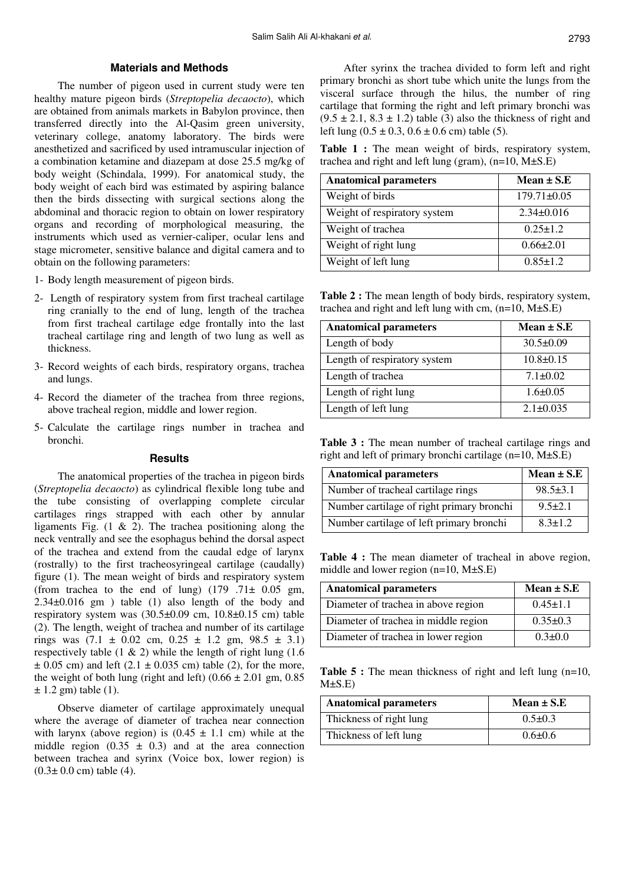## **Materials and Methods**

The number of pigeon used in current study were ten healthy mature pigeon birds (*Streptopelia decaocto*), which are obtained from animals markets in Babylon province, then transferred directly into the Al-Qasim green university, veterinary college, anatomy laboratory. The birds were anesthetized and sacrificed by used intramuscular injection of a combination ketamine and diazepam at dose 25.5 mg/kg of body weight (Schindala, 1999). For anatomical study, the body weight of each bird was estimated by aspiring balance then the birds dissecting with surgical sections along the abdominal and thoracic region to obtain on lower respiratory organs and recording of morphological measuring, the instruments which used as vernier-caliper, ocular lens and stage micrometer, sensitive balance and digital camera and to obtain on the following parameters:

- 1- Body length measurement of pigeon birds.
- 2- Length of respiratory system from first tracheal cartilage ring cranially to the end of lung, length of the trachea from first tracheal cartilage edge frontally into the last tracheal cartilage ring and length of two lung as well as thickness.
- 3- Record weights of each birds, respiratory organs, trachea and lungs.
- 4- Record the diameter of the trachea from three regions, above tracheal region, middle and lower region.
- 5- Calculate the cartilage rings number in trachea and bronchi.

### **Results**

The anatomical properties of the trachea in pigeon birds (*Streptopelia decaocto*) as cylindrical flexible long tube and the tube consisting of overlapping complete circular cartilages rings strapped with each other by annular ligaments Fig.  $(1 \& 2)$ . The trachea positioning along the neck ventrally and see the esophagus behind the dorsal aspect of the trachea and extend from the caudal edge of larynx (rostrally) to the first tracheosyringeal cartilage (caudally) figure (1). The mean weight of birds and respiratory system (from trachea to the end of lung)  $(179 \t .71 \pm 0.05 \t gm,$ 2.34±0.016 gm ) table (1) also length of the body and respiratory system was (30.5±0.09 cm, 10.8±0.15 cm) table (2). The length, weight of trachea and number of its cartilage rings was  $(7.1 \pm 0.02 \text{ cm}, 0.25 \pm 1.2 \text{ cm}, 98.5 \pm 3.1)$ respectively table  $(1 \& 2)$  while the length of right lung  $(1.6$  $\pm$  0.05 cm) and left (2.1  $\pm$  0.035 cm) table (2), for the more, the weight of both lung (right and left)  $(0.66 \pm 2.01 \text{ gm}, 0.85$  $\pm$  1.2 gm) table (1).

Observe diameter of cartilage approximately unequal where the average of diameter of trachea near connection with larynx (above region) is  $(0.45 \pm 1.1 \text{ cm})$  while at the middle region  $(0.35 \pm 0.3)$  and at the area connection between trachea and syrinx (Voice box, lower region) is  $(0.3 \pm 0.0 \text{ cm})$  table (4).

After syrinx the trachea divided to form left and right primary bronchi as short tube which unite the lungs from the visceral surface through the hilus, the number of ring cartilage that forming the right and left primary bronchi was  $(9.5 \pm 2.1, 8.3 \pm 1.2)$  table (3) also the thickness of right and left lung  $(0.5 \pm 0.3, 0.6 \pm 0.6 \text{ cm})$  table (5).

**Table 1 :** The mean weight of birds, respiratory system, trachea and right and left lung (gram),  $(n=10, M\pm S.E)$ 

| <b>Anatomical parameters</b> | Mean $\pm$ S.E    |
|------------------------------|-------------------|
| Weight of birds              | $179.71 \pm 0.05$ |
| Weight of respiratory system | $2.34\pm0.016$    |
| Weight of trachea            | $0.25 \pm 1.2$    |
| Weight of right lung         | $0.66 \pm 2.01$   |
| Weight of left lung          | $0.85 + 1.2$      |

**Table 2 :** The mean length of body birds, respiratory system, trachea and right and left lung with cm,  $(n=10, M\pm S.E)$ 

| <b>Anatomical parameters</b> | Mean $\pm$ S.E  |
|------------------------------|-----------------|
| Length of body               | $30.5 \pm 0.09$ |
| Length of respiratory system | $10.8 \pm 0.15$ |
| Length of trachea            | $7.1 \pm 0.02$  |
| Length of right lung         | $1.6 \pm 0.05$  |
| Length of left lung          | $2.1 \pm 0.035$ |

Table 3 : The mean number of tracheal cartilage rings and right and left of primary bronchi cartilage (n=10, M±S.E)

| <b>Anatomical parameters</b>              | Mean $\pm$ S.E |
|-------------------------------------------|----------------|
| Number of tracheal cartilage rings        | $98.5 \pm 3.1$ |
| Number cartilage of right primary bronchi | $9.5 + 2.1$    |
| Number cartilage of left primary bronchi  | $8.3 + 1.2$    |

**Table 4 :** The mean diameter of tracheal in above region, middle and lower region (n=10, M±S.E)

| <b>Anatomical parameters</b>         | Mean $\pm$ S.E |
|--------------------------------------|----------------|
| Diameter of trachea in above region  | $0.45 \pm 1.1$ |
| Diameter of trachea in middle region | $0.35 \pm 0.3$ |
| Diameter of trachea in lower region  | $0.3 \pm 0.0$  |

**Table 5 :** The mean thickness of right and left lung (n=10,  $M\pm S.E$ 

| <b>Anatomical parameters</b> | Mean $\pm$ S.E |
|------------------------------|----------------|
| Thickness of right lung      | $0.5 \pm 0.3$  |
| Thickness of left lung       | $0.6 \pm 0.6$  |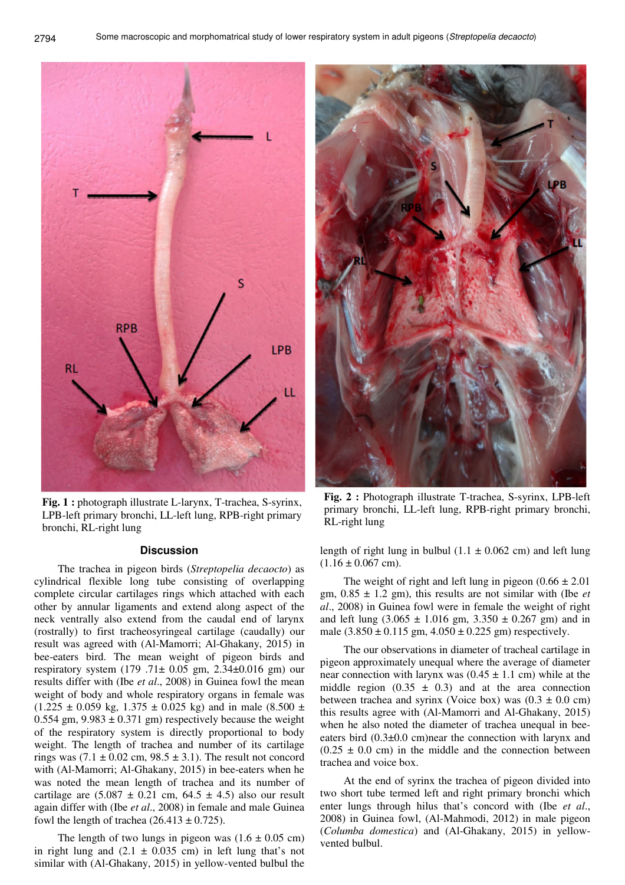

**Fig. 1 :** photograph illustrate L-larynx, T-trachea, S-syrinx, LPB-left primary bronchi, LL-left lung, RPB-right primary bronchi, RL-right lung

### **Discussion**

The trachea in pigeon birds (*Streptopelia decaocto*) as cylindrical flexible long tube consisting of overlapping complete circular cartilages rings which attached with each other by annular ligaments and extend along aspect of the neck ventrally also extend from the caudal end of larynx (rostrally) to first tracheosyringeal cartilage (caudally) our result was agreed with (Al-Mamorri; Al-Ghakany, 2015) in bee-eaters bird. The mean weight of pigeon birds and respiratory system (179 .71± 0.05 gm, 2.34±0.016 gm) our results differ with (Ibe *et al*., 2008) in Guinea fowl the mean weight of body and whole respiratory organs in female was  $(1.225 \pm 0.059 \text{ kg}, 1.375 \pm 0.025 \text{ kg})$  and in male  $(8.500 \pm 0.025 \text{ kg})$  $0.554$  gm,  $9.983 \pm 0.371$  gm) respectively because the weight of the respiratory system is directly proportional to body weight. The length of trachea and number of its cartilage rings was  $(7.1 \pm 0.02 \text{ cm}, 98.5 \pm 3.1)$ . The result not concord with (Al-Mamorri; Al-Ghakany, 2015) in bee-eaters when he was noted the mean length of trachea and its number of cartilage are  $(5.087 \pm 0.21 \text{ cm}, 64.5 \pm 4.5)$  also our result again differ with (Ibe *et al*., 2008) in female and male Guinea fowl the length of trachea  $(26.413 \pm 0.725)$ .

The length of two lungs in pigeon was  $(1.6 \pm 0.05 \text{ cm})$ in right lung and  $(2.1 \pm 0.035 \text{ cm})$  in left lung that's not similar with (Al-Ghakany, 2015) in yellow-vented bulbul the



**Fig. 2 :** Photograph illustrate T-trachea, S-syrinx, LPB-left primary bronchi, LL-left lung, RPB-right primary bronchi, RL-right lung

length of right lung in bulbul  $(1.1 \pm 0.062 \text{ cm})$  and left lung  $(1.16 \pm 0.067$  cm).

The weight of right and left lung in pigeon  $(0.66 \pm 2.01)$ gm,  $0.85 \pm 1.2$  gm), this results are not similar with (Ibe *et al*., 2008) in Guinea fowl were in female the weight of right and left lung  $(3.065 \pm 1.016 \text{ gm}, 3.350 \pm 0.267 \text{ gm})$  and in male  $(3.850 \pm 0.115 \text{ gm}, 4.050 \pm 0.225 \text{ gm})$  respectively.

The our observations in diameter of tracheal cartilage in pigeon approximately unequal where the average of diameter near connection with larynx was  $(0.45 \pm 1.1 \text{ cm})$  while at the middle region  $(0.35 \pm 0.3)$  and at the area connection between trachea and syrinx (Voice box) was  $(0.3 \pm 0.0 \text{ cm})$ this results agree with (Al-Mamorri and Al-Ghakany, 2015) when he also noted the diameter of trachea unequal in beeeaters bird (0.3±0.0 cm)near the connection with larynx and  $(0.25 \pm 0.0 \text{ cm})$  in the middle and the connection between trachea and voice box.

At the end of syrinx the trachea of pigeon divided into two short tube termed left and right primary bronchi which enter lungs through hilus that's concord with (Ibe *et al*., 2008) in Guinea fowl, (Al-Mahmodi, 2012) in male pigeon (*Columba domestica*) and (Al-Ghakany, 2015) in yellowvented bulbul.